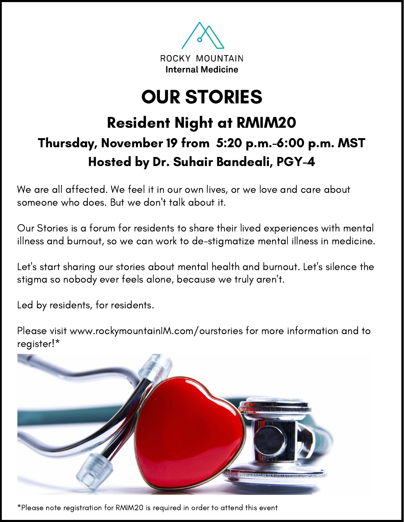

# OUR STORIES

## Resident Night at RMIM20 Thursday, November 19 from 5:20 p.m.-6:00 p.m. MST Hosted by Dr. Suhair Bandeali, PGY-4

We are all affected. We feel it in our own lives, or we love and care about someone who does. But we don't talk about it.

Our Stories is a forum for residents to share their lived experiences with mental illness and burnout, so we can work to de-stigmatize mental illness in medicine.

Let's start sharing our stories about mental health and burnout. Let's silence the stigma so nobody ever feels alone, because we truly aren't.

Led by residents, for residents.

Please visit www.rockymountainIM.com/ourstories for more information and to register!\*



\*Please note registration for RMIM20 is required in order to attend this event